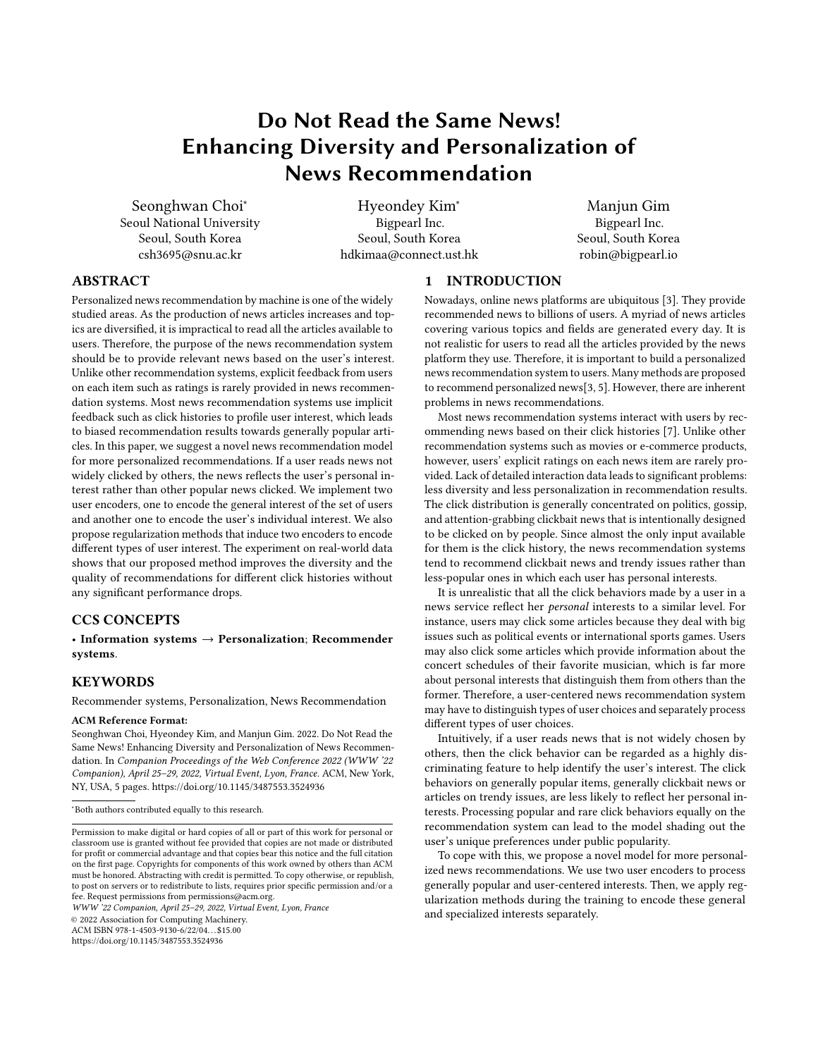# Do Not Read the Same News! Enhancing Diversity and Personalization of News Recommendation

Seonghwan Choi<sup>∗</sup> Seoul National University Seoul, South Korea csh3695@snu.ac.kr

Hyeondey Kim<sup>∗</sup> Bigpearl Inc. Seoul, South Korea hdkimaa@connect.ust.hk

Manjun Gim Bigpearl Inc. Seoul, South Korea robin@bigpearl.io

# ABSTRACT

Personalized news recommendation by machine is one of the widely studied areas. As the production of news articles increases and topics are diversified, it is impractical to read all the articles available to users. Therefore, the purpose of the news recommendation system should be to provide relevant news based on the user's interest. Unlike other recommendation systems, explicit feedback from users on each item such as ratings is rarely provided in news recommendation systems. Most news recommendation systems use implicit feedback such as click histories to profile user interest, which leads to biased recommendation results towards generally popular articles. In this paper, we suggest a novel news recommendation model for more personalized recommendations. If a user reads news not widely clicked by others, the news reflects the user's personal interest rather than other popular news clicked. We implement two user encoders, one to encode the general interest of the set of users and another one to encode the user's individual interest. We also propose regularization methods that induce two encoders to encode different types of user interest. The experiment on real-world data shows that our proposed method improves the diversity and the quality of recommendations for different click histories without any significant performance drops.

## CCS CONCEPTS

• Information systems  $\rightarrow$  Personalization; Recommender systems.

# **KEYWORDS**

Recommender systems, Personalization, News Recommendation

#### ACM Reference Format:

Seonghwan Choi, Hyeondey Kim, and Manjun Gim. 2022. Do Not Read the Same News! Enhancing Diversity and Personalization of News Recommendation. In Companion Proceedings of the Web Conference 2022 (WWW '22 Companion), April 25–29, 2022, Virtual Event, Lyon, France. ACM, New York, NY, USA, [5](#page-4-0) pages.<https://doi.org/10.1145/3487553.3524936>

WWW '22 Companion, April 25–29, 2022, Virtual Event, Lyon, France

© 2022 Association for Computing Machinery.

ACM ISBN 978-1-4503-9130-6/22/04. . . \$15.00

<https://doi.org/10.1145/3487553.3524936>

## 1 INTRODUCTION

Nowadays, online news platforms are ubiquitous [\[3\]](#page-4-1). They provide recommended news to billions of users. A myriad of news articles covering various topics and fields are generated every day. It is not realistic for users to read all the articles provided by the news platform they use. Therefore, it is important to build a personalized news recommendation system to users. Many methods are proposed to recommend personalized news[\[3,](#page-4-1) [5\]](#page-4-2). However, there are inherent problems in news recommendations.

Most news recommendation systems interact with users by recommending news based on their click histories [\[7\]](#page-4-3). Unlike other recommendation systems such as movies or e-commerce products, however, users' explicit ratings on each news item are rarely provided. Lack of detailed interaction data leads to significant problems: less diversity and less personalization in recommendation results. The click distribution is generally concentrated on politics, gossip, and attention-grabbing clickbait news that is intentionally designed to be clicked on by people. Since almost the only input available for them is the click history, the news recommendation systems tend to recommend clickbait news and trendy issues rather than less-popular ones in which each user has personal interests.

It is unrealistic that all the click behaviors made by a user in a news service reflect her personal interests to a similar level. For instance, users may click some articles because they deal with big issues such as political events or international sports games. Users may also click some articles which provide information about the concert schedules of their favorite musician, which is far more about personal interests that distinguish them from others than the former. Therefore, a user-centered news recommendation system may have to distinguish types of user choices and separately process different types of user choices.

Intuitively, if a user reads news that is not widely chosen by others, then the click behavior can be regarded as a highly discriminating feature to help identify the user's interest. The click behaviors on generally popular items, generally clickbait news or articles on trendy issues, are less likely to reflect her personal interests. Processing popular and rare click behaviors equally on the recommendation system can lead to the model shading out the user's unique preferences under public popularity.

To cope with this, we propose a novel model for more personalized news recommendations. We use two user encoders to process generally popular and user-centered interests. Then, we apply regularization methods during the training to encode these general and specialized interests separately.

<sup>∗</sup>Both authors contributed equally to this research.

Permission to make digital or hard copies of all or part of this work for personal or classroom use is granted without fee provided that copies are not made or distributed for profit or commercial advantage and that copies bear this notice and the full citation on the first page. Copyrights for components of this work owned by others than ACM must be honored. Abstracting with credit is permitted. To copy otherwise, or republish, to post on servers or to redistribute to lists, requires prior specific permission and/or a fee. Request permissions from permissions@acm.org.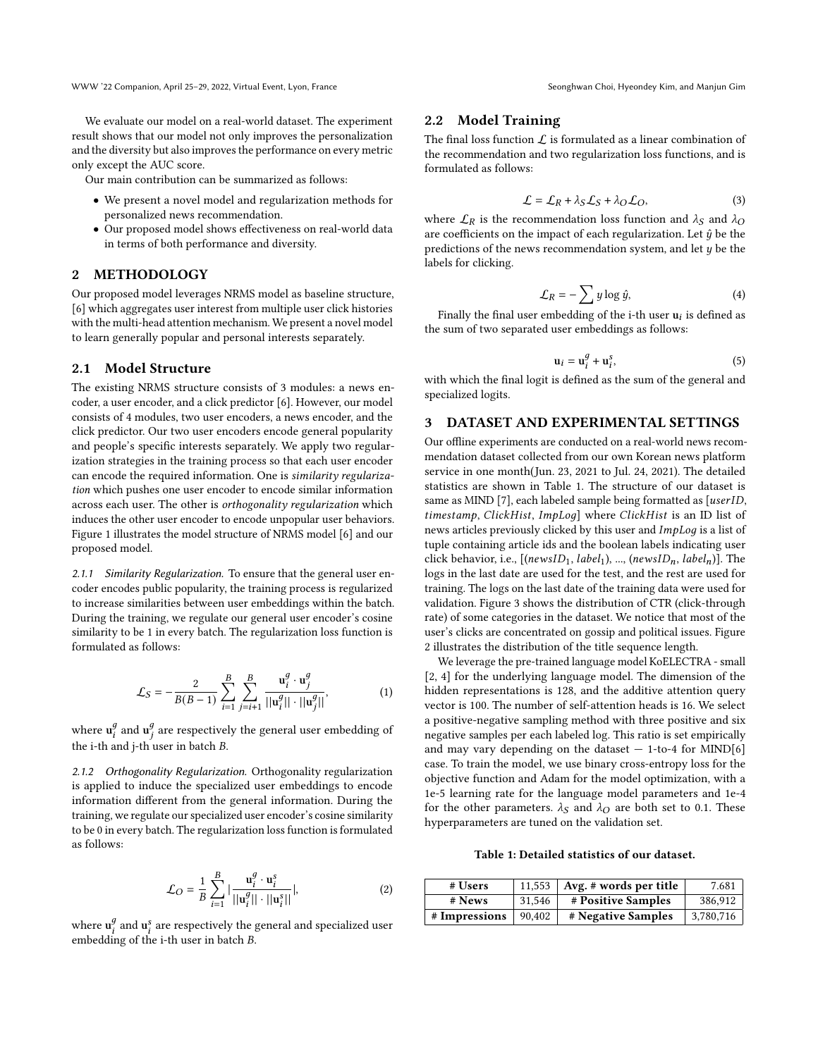We evaluate our model on a real-world dataset. The experiment result shows that our model not only improves the personalization and the diversity but also improves the performance on every metric only except the AUC score.

Our main contribution can be summarized as follows:

- We present a novel model and regularization methods for personalized news recommendation.
- Our proposed model shows effectiveness on real-world data in terms of both performance and diversity.

## 2 METHODOLOGY

Our proposed model leverages NRMS model as baseline structure, [\[6\]](#page-4-4) which aggregates user interest from multiple user click histories with the multi-head attention mechanism. We present a novel model to learn generally popular and personal interests separately.

#### 2.1 Model Structure

The existing NRMS structure consists of 3 modules: a news encoder, a user encoder, and a click predictor [\[6\]](#page-4-4). However, our model consists of 4 modules, two user encoders, a news encoder, and the click predictor. Our two user encoders encode general popularity and people's specific interests separately. We apply two regularization strategies in the training process so that each user encoder can encode the required information. One is similarity regularization which pushes one user encoder to encode similar information across each user. The other is orthogonality regularization which induces the other user encoder to encode unpopular user behaviors. Figure [1](#page-2-0) illustrates the model structure of NRMS model [\[6\]](#page-4-4) and our proposed model.

2.1.1 Similarity Regularization. To ensure that the general user encoder encodes public popularity, the training process is regularized to increase similarities between user embeddings within the batch. During the training, we regulate our general user encoder's cosine similarity to be 1 in every batch. The regularization loss function is formulated as follows:

$$
\mathcal{L}_S = -\frac{2}{B(B-1)} \sum_{i=1}^{B} \sum_{j=i+1}^{B} \frac{\mathbf{u}_i^g \cdot \mathbf{u}_j^g}{||\mathbf{u}_i^g|| \cdot ||\mathbf{u}_j^g||},
$$
(1)

where  $\mathbf{u}_i^g$  $\frac{g}{i}$  and  $\mathbf{u}^g_i$  $\frac{g}{i}$  are respectively the general user embedding of the i-th and j-th user in batch  $B$ .

2.1.2 Orthogonality Regularization. Orthogonality regularization is applied to induce the specialized user embeddings to encode information different from the general information. During the training, we regulate our specialized user encoder's cosine similarity to be 0 in every batch. The regularization loss function is formulated as follows:

$$
\mathcal{L}_O = \frac{1}{B} \sum_{i=1}^{B} |\frac{\mathbf{u}_i^g \cdot \mathbf{u}_i^s}{||\mathbf{u}_i^g|| \cdot ||\mathbf{u}_i^s||}|,
$$
 (2)

where  $\mathbf{u}^{g}_{i}$  $\frac{g}{i}$  and  $\mathbf{u}_i^s$  are respectively the general and specialized user embedding of the i-th user in batch  $B$ .

#### 2.2 Model Training

The final loss function  $\mathcal L$  is formulated as a linear combination of the recommendation and two regularization loss functions, and is formulated as follows:

$$
\mathcal{L} = \mathcal{L}_R + \lambda_S \mathcal{L}_S + \lambda_O \mathcal{L}_O,\tag{3}
$$

where  $\mathcal{L}_R$  is the recommendation loss function and  $\lambda_S$  and  $\lambda_O$ are coefficients on the impact of each regularization. Let  $\hat{y}$  be the predictions of the news recommendation system, and let  $y$  be the labels for clicking.

$$
\mathcal{L}_R = -\sum y \log \hat{y},\tag{4}
$$

Finally the final user embedding of the i-th user  $\mathbf{u}_i$  is defined as the sum of two separated user embeddings as follows:

$$
\mathbf{u}_i = \mathbf{u}_i^g + \mathbf{u}_i^s, \tag{5}
$$

with which the final logit is defined as the sum of the general and specialized logits.

#### 3 DATASET AND EXPERIMENTAL SETTINGS

Our offline experiments are conducted on a real-world news recommendation dataset collected from our own Korean news platform service in one month(Jun. 23, 2021 to Jul. 24, 2021). The detailed statistics are shown in Table [1.](#page-1-0) The structure of our dataset is same as MIND [\[7\]](#page-4-3), each labeled sample being formatted as  $[userID,$ timestamp, ClickHist, ImpLoq] where ClickHist is an ID list of news articles previously clicked by this user and ImpLog is a list of tuple containing article ids and the boolean labels indicating user click behavior, i.e.,  $[(newsID<sub>1</sub>, label<sub>1</sub>), ..., (newsID<sub>n</sub>, label<sub>n</sub>)].$  The logs in the last date are used for the test, and the rest are used for training. The logs on the last date of the training data were used for validation. Figure [3](#page-2-1) shows the distribution of CTR (click-through rate) of some categories in the dataset. We notice that most of the user's clicks are concentrated on gossip and political issues. Figure [2](#page-2-2) illustrates the distribution of the title sequence length.

We leverage the pre-trained language model KoELECTRA - small [\[2,](#page-4-5) [4\]](#page-4-6) for the underlying language model. The dimension of the hidden representations is 128, and the additive attention query vector is 100. The number of self-attention heads is 16. We select a positive-negative sampling method with three positive and six negative samples per each labeled log. This ratio is set empirically and may vary depending on the dataset  $-1$ -to-4 for MIND[\[6\]](#page-4-4) case. To train the model, we use binary cross-entropy loss for the objective function and Adam for the model optimization, with a 1e-5 learning rate for the language model parameters and 1e-4 for the other parameters.  $\lambda_S$  and  $\lambda_O$  are both set to 0.1. These hyperparameters are tuned on the validation set.

Table 1: Detailed statistics of our dataset.

<span id="page-1-0"></span>

| # Users       | 11.553 | Avg. # words per title    | 7.681     |
|---------------|--------|---------------------------|-----------|
| # News        | 31.546 | # Positive Samples        | 386,912   |
| # Impressions | 90,402 | <b># Negative Samples</b> | 3,780,716 |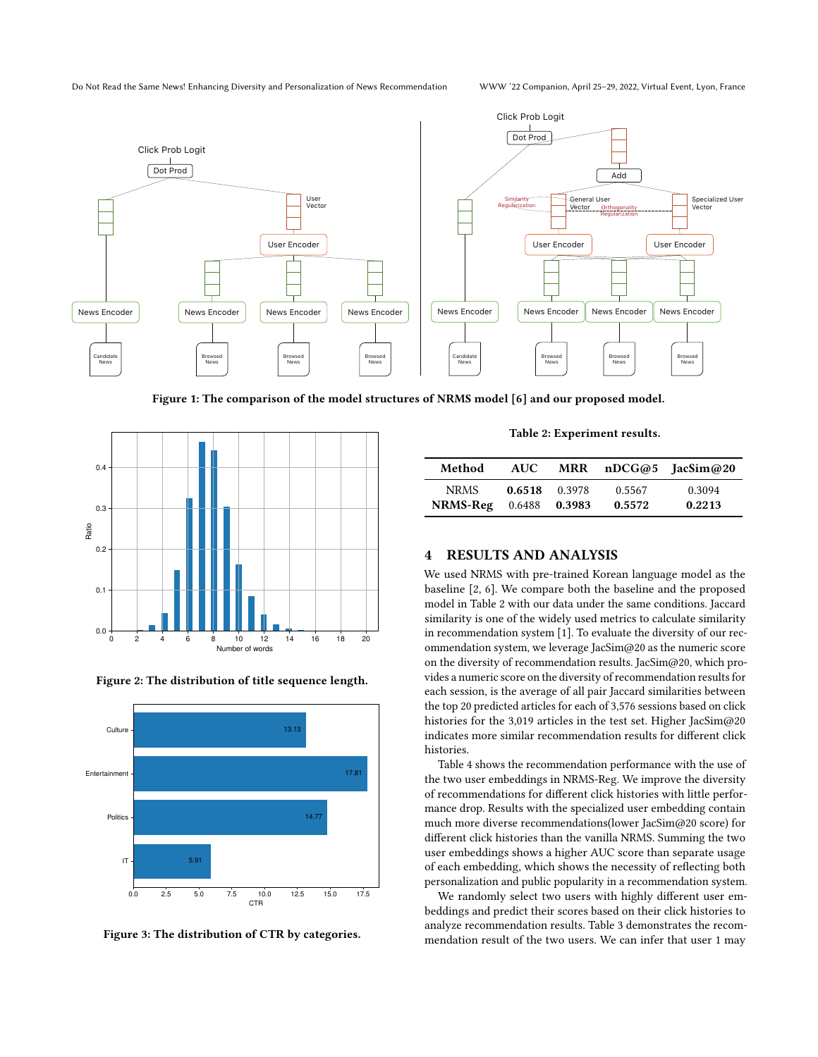Do Not Read the Same News! Enhancing Diversity and Personalization of News Recommendation WWW '22 Companion, April 25–29, 2022, Virtual Event, Lyon, France

<span id="page-2-0"></span>

Figure 1: The comparison of the model structures of NRMS model [\[6\]](#page-4-4) and our proposed model.

<span id="page-2-2"></span>

Figure 2: The distribution of title sequence length.

<span id="page-2-1"></span>

Figure 3: The distribution of CTR by categories.

Table 2: Experiment results.

<span id="page-2-3"></span>

| Method          | AUC –         |        |        | MRR $nDCG@5$ JacSim@20 |
|-----------------|---------------|--------|--------|------------------------|
| NRMS.           | 0.6518        | 0.3978 | 0.5567 | 0.3094                 |
| <b>NRMS-Reg</b> | 0.6488 0.3983 |        | 0.5572 | 0.2213                 |

## 4 RESULTS AND ANALYSIS

We used NRMS with pre-trained Korean language model as the baseline [\[2,](#page-4-5) [6\]](#page-4-4). We compare both the baseline and the proposed model in Table [2](#page-2-3) with our data under the same conditions. Jaccard similarity is one of the widely used metrics to calculate similarity in recommendation system [\[1\]](#page-4-7). To evaluate the diversity of our recommendation system, we leverage JacSim@20 as the numeric score on the diversity of recommendation results. JacSim@20, which provides a numeric score on the diversity of recommendation results for each session, is the average of all pair Jaccard similarities between the top 20 predicted articles for each of 3,576 sessions based on click histories for the 3,019 articles in the test set. Higher JacSim@20 indicates more similar recommendation results for different click histories.

Table [4](#page-3-0) shows the recommendation performance with the use of the two user embeddings in NRMS-Reg. We improve the diversity of recommendations for different click histories with little performance drop. Results with the specialized user embedding contain much more diverse recommendations(lower JacSim@20 score) for different click histories than the vanilla NRMS. Summing the two user embeddings shows a higher AUC score than separate usage of each embedding, which shows the necessity of reflecting both personalization and public popularity in a recommendation system.

We randomly select two users with highly different user embeddings and predict their scores based on their click histories to analyze recommendation results. Table [3](#page-3-1) demonstrates the recommendation result of the two users. We can infer that user 1 may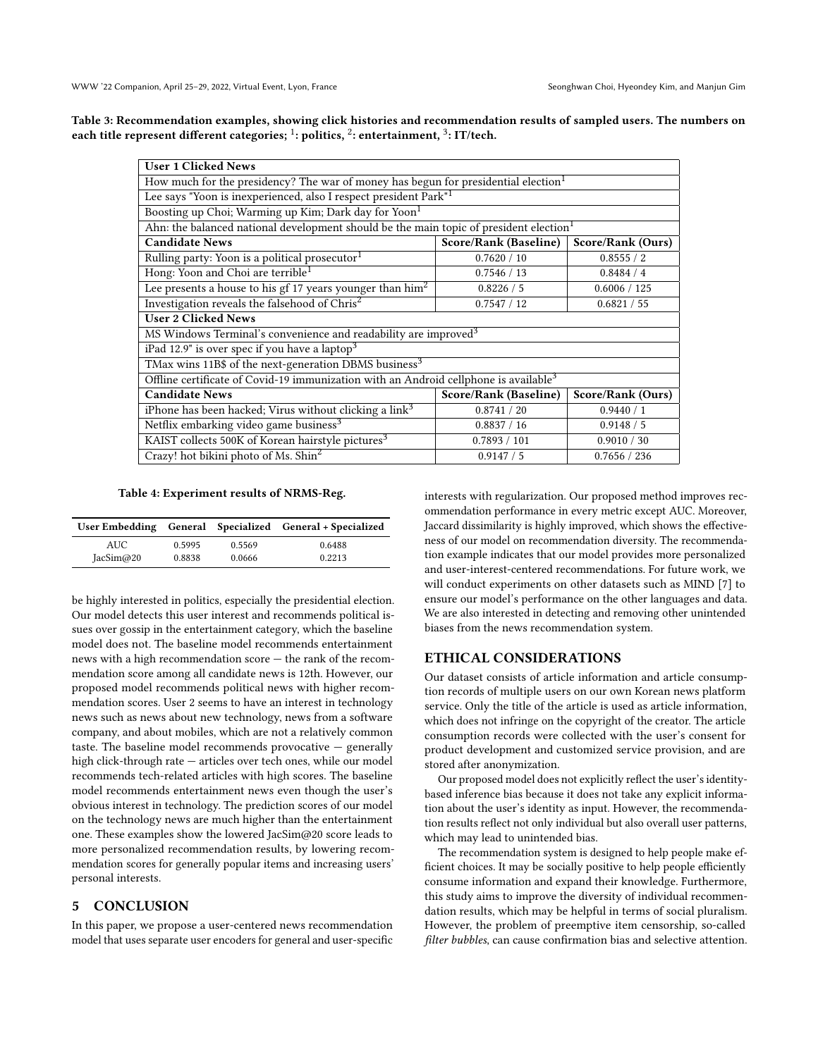<span id="page-3-1"></span>Table 3: Recommendation examples, showing click histories and recommendation results of sampled users. The numbers on each title represent different categories;  $^{1}$ : politics,  $^{2}$ : entertainment,  $^{3}$ : IT/tech.

| <b>User 1 Clicked News</b>                                                                         |                              |                   |  |  |  |  |
|----------------------------------------------------------------------------------------------------|------------------------------|-------------------|--|--|--|--|
| How much for the presidency? The war of money has begun for presidential election <sup>1</sup>     |                              |                   |  |  |  |  |
| Lee says "Yoon is inexperienced, also I respect president Park" <sup>1</sup>                       |                              |                   |  |  |  |  |
| Boosting up Choi; Warming up Kim; Dark day for Yoon <sup>1</sup>                                   |                              |                   |  |  |  |  |
| Ahn: the balanced national development should be the main topic of president election <sup>1</sup> |                              |                   |  |  |  |  |
| <b>Candidate News</b>                                                                              | Score/Rank (Baseline)        | Score/Rank (Ours) |  |  |  |  |
| Rulling party: Yoon is a political prosecutor $1$                                                  | 0.7620 / 10                  | 0.8555 / 2        |  |  |  |  |
| Hong: Yoon and Choi are terrible <sup>1</sup>                                                      | 0.7546 / 13                  | 0.8484 / 4        |  |  |  |  |
| Lee presents a house to his gf 17 years younger than $\text{him}^2$                                | 0.8226 / 5                   | 0.6006 / 125      |  |  |  |  |
| Investigation reveals the falsehood of Chris <sup>2</sup>                                          | 0.7547 / 12                  | 0.6821 / 55       |  |  |  |  |
| <b>User 2 Clicked News</b>                                                                         |                              |                   |  |  |  |  |
| MS Windows Terminal's convenience and readability are improved <sup>3</sup>                        |                              |                   |  |  |  |  |
| iPad 12.9" is over spec if you have a laptop <sup>3</sup>                                          |                              |                   |  |  |  |  |
| TMax wins 11B\$ of the next-generation DBMS business <sup>3</sup>                                  |                              |                   |  |  |  |  |
| Offline certificate of Covid-19 immunization with an Android cellphone is available <sup>3</sup>   |                              |                   |  |  |  |  |
| <b>Candidate News</b>                                                                              | <b>Score/Rank (Baseline)</b> | Score/Rank (Ours) |  |  |  |  |
| iPhone has been hacked; Virus without clicking a link <sup>3</sup>                                 | 0.8741 / 20                  | 0.9440 / 1        |  |  |  |  |
| Netflix embarking video game business <sup>3</sup>                                                 | 0.8837 / 16                  | 0.9148 / 5        |  |  |  |  |
| KAIST collects 500K of Korean hairstyle pictures <sup>3</sup>                                      | 0.7893 / 101                 | 0.9010 / 30       |  |  |  |  |
| Crazy! hot bikini photo of Ms. Shin <sup>2</sup>                                                   | 0.9147 / 5                   | 0.7656 / 236      |  |  |  |  |

#### Table 4: Experiment results of NRMS-Reg.

<span id="page-3-0"></span>

|           |        |        | User Embedding General Specialized General + Specialized |
|-----------|--------|--------|----------------------------------------------------------|
| AUC.      | 0.5995 | 0.5569 | 0.6488                                                   |
| JacSim@20 | 0.8838 | 0.0666 | 0.2213                                                   |

be highly interested in politics, especially the presidential election. Our model detects this user interest and recommends political issues over gossip in the entertainment category, which the baseline model does not. The baseline model recommends entertainment news with a high recommendation score — the rank of the recommendation score among all candidate news is 12th. However, our proposed model recommends political news with higher recommendation scores. User 2 seems to have an interest in technology news such as news about new technology, news from a software company, and about mobiles, which are not a relatively common taste. The baseline model recommends provocative  $-$  generally high click-through rate — articles over tech ones, while our model recommends tech-related articles with high scores. The baseline model recommends entertainment news even though the user's obvious interest in technology. The prediction scores of our model on the technology news are much higher than the entertainment one. These examples show the lowered JacSim@20 score leads to more personalized recommendation results, by lowering recommendation scores for generally popular items and increasing users' personal interests.

## 5 CONCLUSION

In this paper, we propose a user-centered news recommendation model that uses separate user encoders for general and user-specific

interests with regularization. Our proposed method improves recommendation performance in every metric except AUC. Moreover, Jaccard dissimilarity is highly improved, which shows the effectiveness of our model on recommendation diversity. The recommendation example indicates that our model provides more personalized and user-interest-centered recommendations. For future work, we will conduct experiments on other datasets such as MIND [\[7\]](#page-4-3) to ensure our model's performance on the other languages and data. We are also interested in detecting and removing other unintended biases from the news recommendation system.

#### ETHICAL CONSIDERATIONS

Our dataset consists of article information and article consumption records of multiple users on our own Korean news platform service. Only the title of the article is used as article information, which does not infringe on the copyright of the creator. The article consumption records were collected with the user's consent for product development and customized service provision, and are stored after anonymization.

Our proposed model does not explicitly reflect the user's identitybased inference bias because it does not take any explicit information about the user's identity as input. However, the recommendation results reflect not only individual but also overall user patterns, which may lead to unintended bias.

The recommendation system is designed to help people make efficient choices. It may be socially positive to help people efficiently consume information and expand their knowledge. Furthermore, this study aims to improve the diversity of individual recommendation results, which may be helpful in terms of social pluralism. However, the problem of preemptive item censorship, so-called filter bubbles, can cause confirmation bias and selective attention.